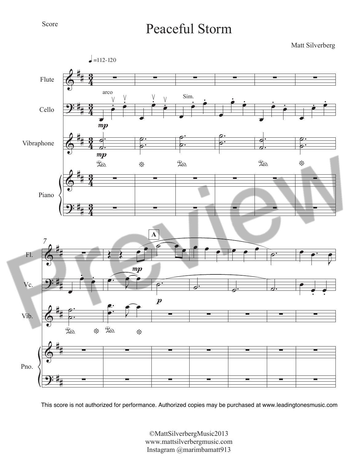## Score

## Peaceful Storm

Matt Silverberg



This score is not authorized for performance. Authorized copies may be purchased at www.leadingtonesmusic.com

©MattSilverbergMusic2013 www.mattsilverbergmusic.com Instagram @marimbamatt913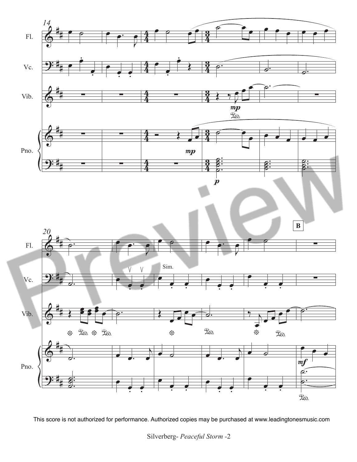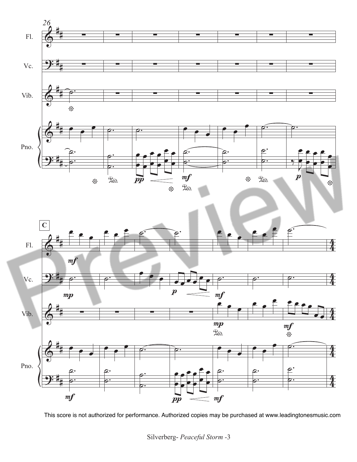

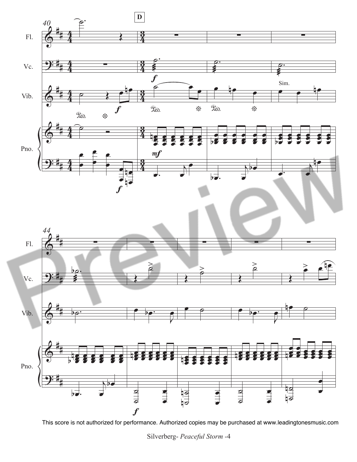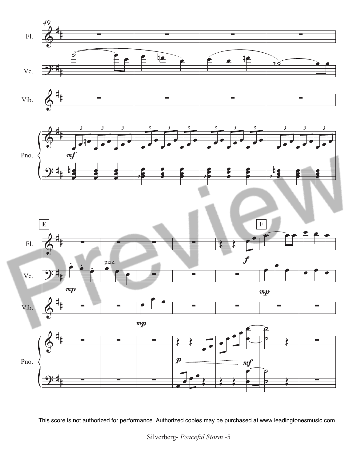

œ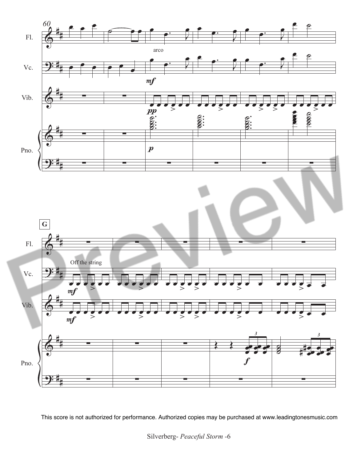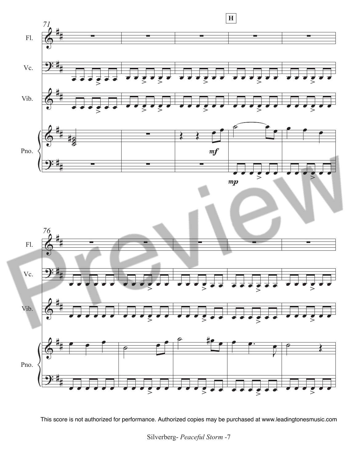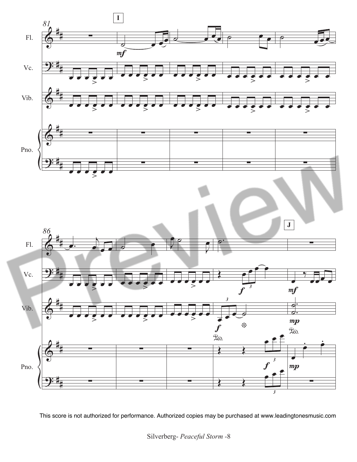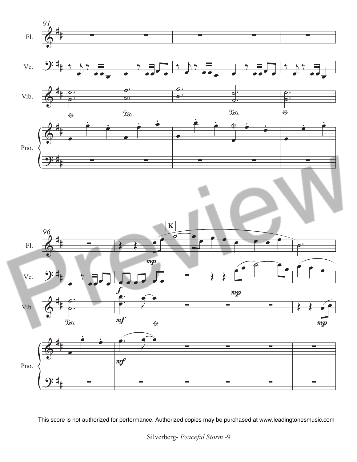